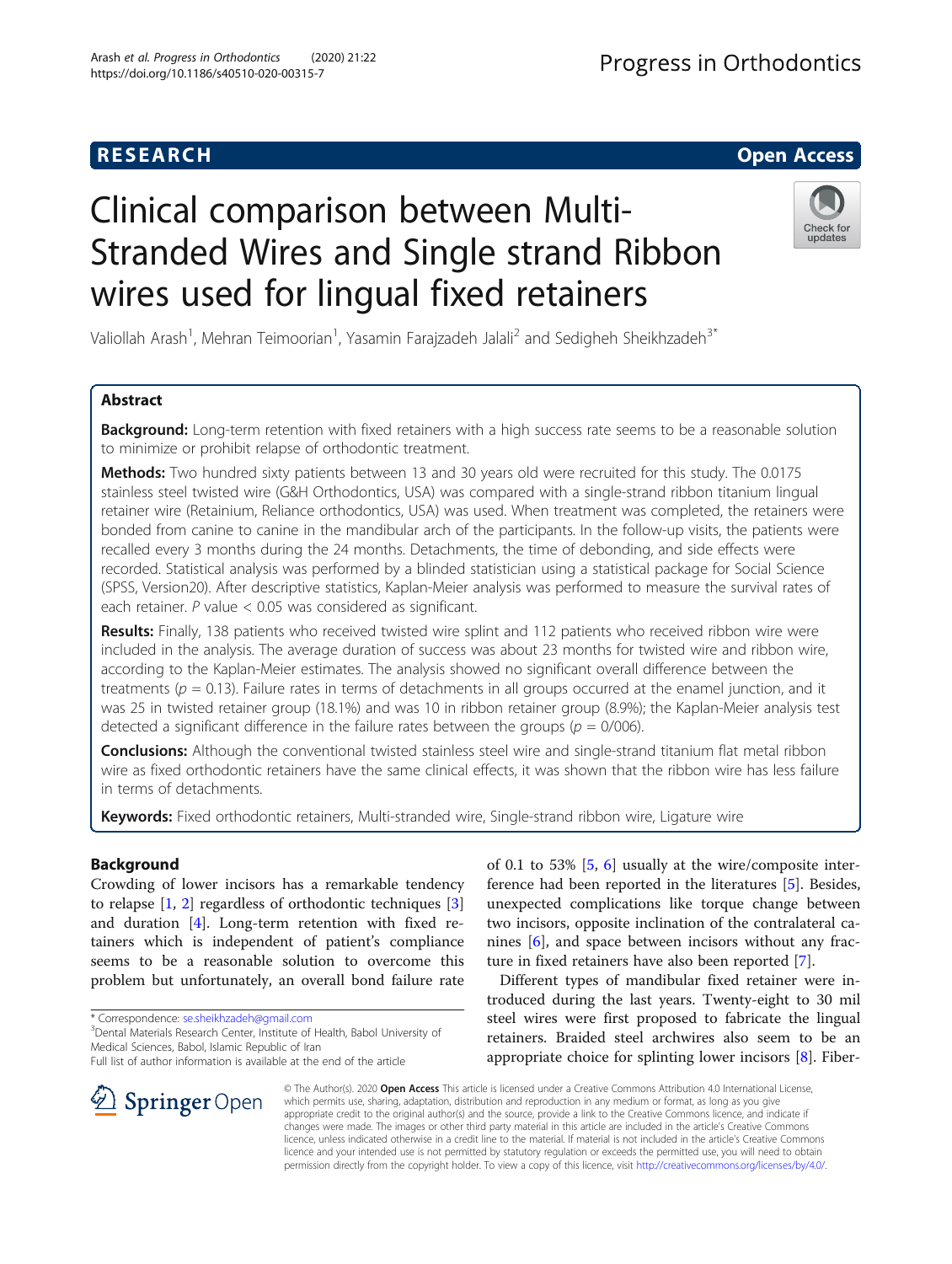# **RESEARCH CHILD CONTROL** CONTROL CONTROL CONTROL CONTROL CONTROL CONTROL CONTROL CONTROL CONTROL CONTROL CONTROL

# Clinical comparison between Multi-Stranded Wires and Single strand Ribbon wires used for lingual fixed retainers

Valiollah Arash<sup>1</sup>, Mehran Teimoorian<sup>1</sup>, Yasamin Farajzadeh Jalali<sup>2</sup> and Sedigheh Sheikhzadeh<sup>3\*</sup>

# Abstract

Background: Long-term retention with fixed retainers with a high success rate seems to be a reasonable solution to minimize or prohibit relapse of orthodontic treatment.

Methods: Two hundred sixty patients between 13 and 30 years old were recruited for this study. The 0.0175 stainless steel twisted wire (G&H Orthodontics, USA) was compared with a single-strand ribbon titanium lingual retainer wire (Retainium, Reliance orthodontics, USA) was used. When treatment was completed, the retainers were bonded from canine to canine in the mandibular arch of the participants. In the follow-up visits, the patients were recalled every 3 months during the 24 months. Detachments, the time of debonding, and side effects were recorded. Statistical analysis was performed by a blinded statistician using a statistical package for Social Science (SPSS, Version20). After descriptive statistics, Kaplan-Meier analysis was performed to measure the survival rates of each retainer. P value < 0.05 was considered as significant.

Results: Finally, 138 patients who received twisted wire splint and 112 patients who received ribbon wire were included in the analysis. The average duration of success was about 23 months for twisted wire and ribbon wire, according to the Kaplan-Meier estimates. The analysis showed no significant overall difference between the treatments ( $p = 0.13$ ). Failure rates in terms of detachments in all groups occurred at the enamel junction, and it was 25 in twisted retainer group (18.1%) and was 10 in ribbon retainer group (8.9%); the Kaplan-Meier analysis test detected a significant difference in the failure rates between the groups ( $p = 0/006$ ).

Conclusions: Although the conventional twisted stainless steel wire and single-strand titanium flat metal ribbon wire as fixed orthodontic retainers have the same clinical effects, it was shown that the ribbon wire has less failure in terms of detachments.

Keywords: Fixed orthodontic retainers, Multi-stranded wire, Single-strand ribbon wire, Ligature wire

# Background

Crowding of lower incisors has a remarkable tendency to relapse  $[1, 2]$  $[1, 2]$  $[1, 2]$  regardless of orthodontic techniques  $[3]$  $[3]$ and duration [\[4](#page-3-0)]. Long-term retention with fixed retainers which is independent of patient's compliance seems to be a reasonable solution to overcome this problem but unfortunately, an overall bond failure rate

\* Correspondence: [se.sheikhzadeh@gmail.com](mailto:se.sheikhzadeh@gmail.com) <sup>3</sup>

<sup>3</sup> Dental Materials Research Center, Institute of Health, Babol University of Medical Sciences, Babol, Islamic Republic of Iran

Full list of author information is available at the end of the article

of 0.1 to 53% [\[5](#page-3-0), [6\]](#page-3-0) usually at the wire/composite interference had been reported in the literatures [[5\]](#page-3-0). Besides, unexpected complications like torque change between two incisors, opposite inclination of the contralateral canines [\[6](#page-3-0)], and space between incisors without any fracture in fixed retainers have also been reported [[7\]](#page-3-0).

Different types of mandibular fixed retainer were introduced during the last years. Twenty-eight to 30 mil steel wires were first proposed to fabricate the lingual retainers. Braided steel archwires also seem to be an appropriate choice for splinting lower incisors [[8\]](#page-3-0). Fiber-

© The Author(s). 2020 Open Access This article is licensed under a Creative Commons Attribution 4.0 International License, which permits use, sharing, adaptation, distribution and reproduction in any medium or format, as long as you give appropriate credit to the original author(s) and the source, provide a link to the Creative Commons licence, and indicate if changes were made. The images or other third party material in this article are included in the article's Creative Commons licence, unless indicated otherwise in a credit line to the material. If material is not included in the article's Creative Commons licence and your intended use is not permitted by statutory regulation or exceeds the permitted use, you will need to obtain permission directly from the copyright holder. To view a copy of this licence, visit <http://creativecommons.org/licenses/by/4.0/>.



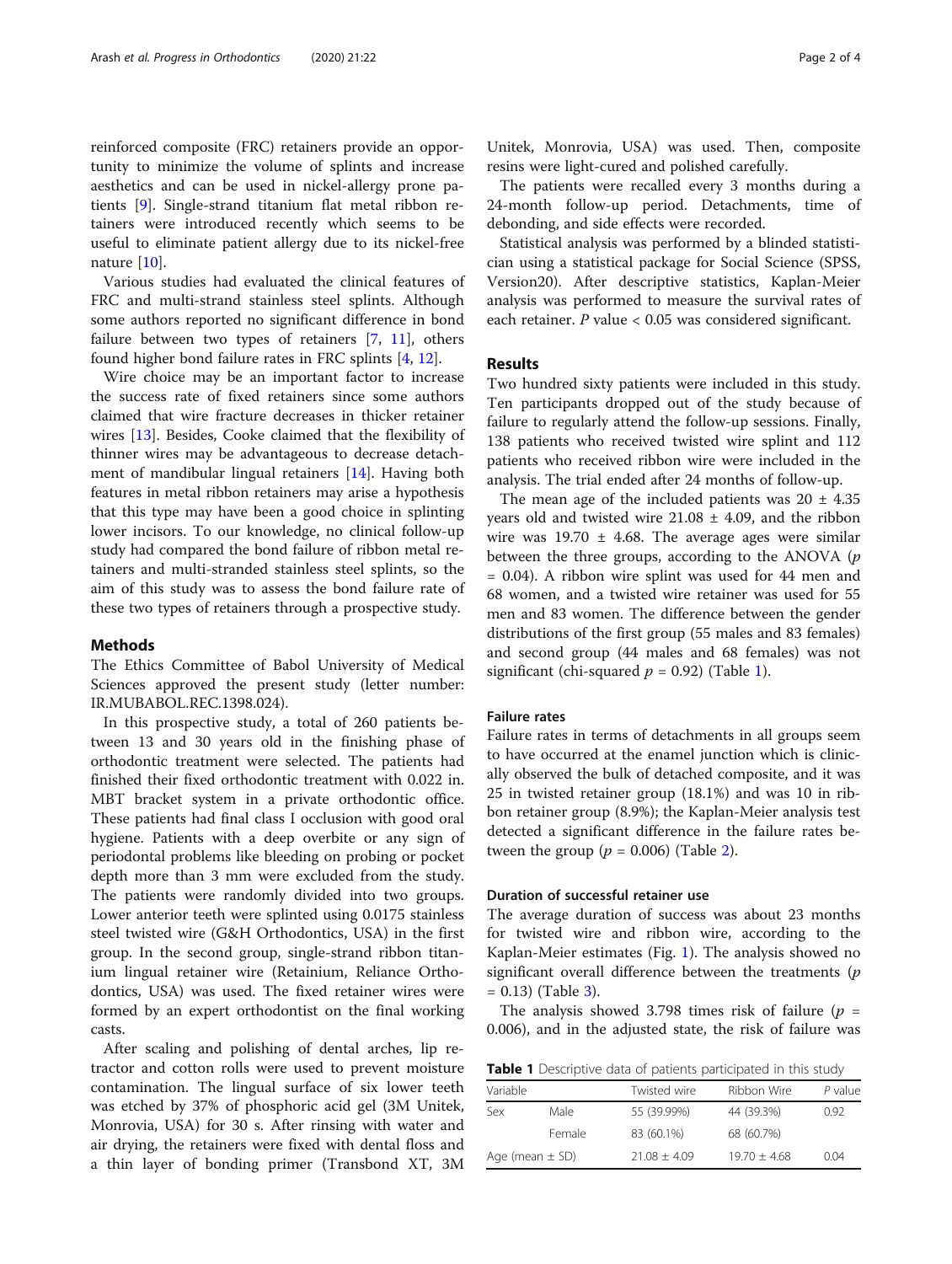reinforced composite (FRC) retainers provide an opportunity to minimize the volume of splints and increase aesthetics and can be used in nickel-allergy prone patients [\[9](#page-3-0)]. Single-strand titanium flat metal ribbon retainers were introduced recently which seems to be useful to eliminate patient allergy due to its nickel-free nature [\[10\]](#page-3-0).

Various studies had evaluated the clinical features of FRC and multi-strand stainless steel splints. Although some authors reported no significant difference in bond failure between two types of retainers  $[7, 11]$  $[7, 11]$  $[7, 11]$  $[7, 11]$  $[7, 11]$ , others found higher bond failure rates in FRC splints [[4,](#page-3-0) [12](#page-3-0)].

Wire choice may be an important factor to increase the success rate of fixed retainers since some authors claimed that wire fracture decreases in thicker retainer wires [[13\]](#page-3-0). Besides, Cooke claimed that the flexibility of thinner wires may be advantageous to decrease detachment of mandibular lingual retainers [\[14](#page-3-0)]. Having both features in metal ribbon retainers may arise a hypothesis that this type may have been a good choice in splinting lower incisors. To our knowledge, no clinical follow-up study had compared the bond failure of ribbon metal retainers and multi-stranded stainless steel splints, so the aim of this study was to assess the bond failure rate of these two types of retainers through a prospective study.

# Methods

The Ethics Committee of Babol University of Medical Sciences approved the present study (letter number: IR.MUBABOL.REC.1398.024).

In this prospective study, a total of 260 patients between 13 and 30 years old in the finishing phase of orthodontic treatment were selected. The patients had finished their fixed orthodontic treatment with 0.022 in. MBT bracket system in a private orthodontic office. These patients had final class I occlusion with good oral hygiene. Patients with a deep overbite or any sign of periodontal problems like bleeding on probing or pocket depth more than 3 mm were excluded from the study. The patients were randomly divided into two groups. Lower anterior teeth were splinted using 0.0175 stainless steel twisted wire (G&H Orthodontics, USA) in the first group. In the second group, single-strand ribbon titanium lingual retainer wire (Retainium, Reliance Orthodontics, USA) was used. The fixed retainer wires were formed by an expert orthodontist on the final working casts.

After scaling and polishing of dental arches, lip retractor and cotton rolls were used to prevent moisture contamination. The lingual surface of six lower teeth was etched by 37% of phosphoric acid gel (3M Unitek, Monrovia, USA) for 30 s. After rinsing with water and air drying, the retainers were fixed with dental floss and a thin layer of bonding primer (Transbond XT, 3M Unitek, Monrovia, USA) was used. Then, composite resins were light-cured and polished carefully.

The patients were recalled every 3 months during a 24-month follow-up period. Detachments, time of debonding, and side effects were recorded.

Statistical analysis was performed by a blinded statistician using a statistical package for Social Science (SPSS, Version20). After descriptive statistics, Kaplan-Meier analysis was performed to measure the survival rates of each retainer. P value < 0.05 was considered significant.

# Results

Two hundred sixty patients were included in this study. Ten participants dropped out of the study because of failure to regularly attend the follow-up sessions. Finally, 138 patients who received twisted wire splint and 112 patients who received ribbon wire were included in the analysis. The trial ended after 24 months of follow-up.

The mean age of the included patients was  $20 \pm 4.35$ years old and twisted wire  $21.08 \pm 4.09$ , and the ribbon wire was  $19.70 \pm 4.68$ . The average ages were similar between the three groups, according to the ANOVA  $(p$ = 0.04). A ribbon wire splint was used for 44 men and 68 women, and a twisted wire retainer was used for 55 men and 83 women. The difference between the gender distributions of the first group (55 males and 83 females) and second group (44 males and 68 females) was not significant (chi-squared  $p = 0.92$ ) (Table 1).

# Failure rates

Failure rates in terms of detachments in all groups seem to have occurred at the enamel junction which is clinically observed the bulk of detached composite, and it was 25 in twisted retainer group (18.1%) and was 10 in ribbon retainer group (8.9%); the Kaplan-Meier analysis test detected a significant difference in the failure rates between the group ( $p = 0.006$ ) (Table [2](#page-2-0)).

# Duration of successful retainer use

The average duration of success was about 23 months for twisted wire and ribbon wire, according to the Kaplan-Meier estimates (Fig. [1](#page-2-0)). The analysis showed no significant overall difference between the treatments  $(p)$  $= 0.13$  $= 0.13$ ) (Table 3).

The analysis showed 3.798 times risk of failure ( $p =$ 0.006), and in the adjusted state, the risk of failure was

Table 1 Descriptive data of patients participated in this study

| Variable            |        | Twisted wire   | Ribbon Wire    | $P$ value |
|---------------------|--------|----------------|----------------|-----------|
| Sex                 | Male   | 55 (39.99%)    | 44 (39.3%)     | 0.92      |
|                     | Female | 83 (60.1%)     | 68 (60.7%)     |           |
| Age (mean $\pm$ SD) |        | $71.08 + 4.09$ | $19.70 + 4.68$ | 0.04      |
|                     |        |                |                |           |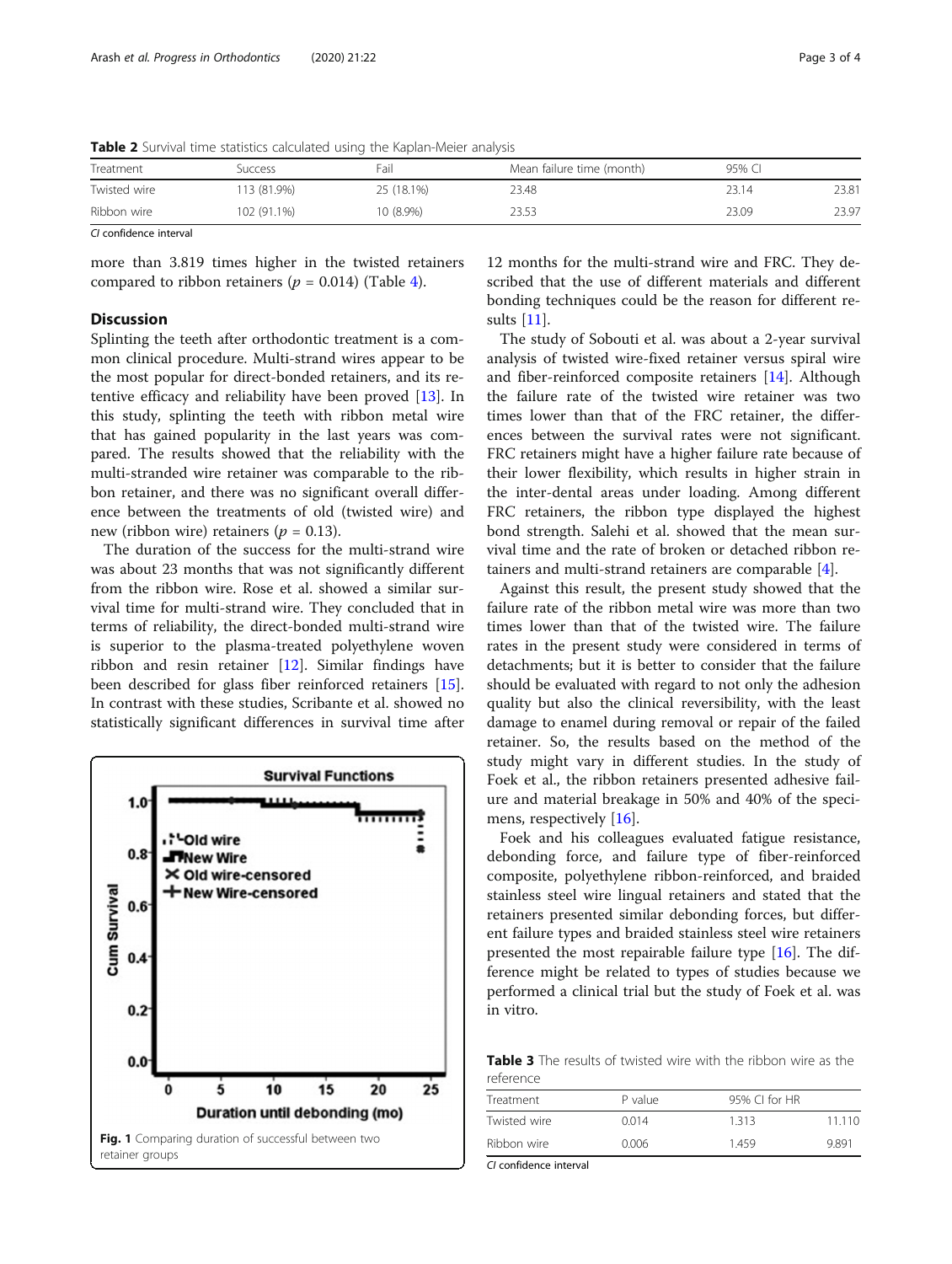<span id="page-2-0"></span>Table 2 Survival time statistics calculated using the Kaplan-Meier analysis

| Treatment    | Success     | Fail       | Mean failure time (month) | 95% CI |       |
|--------------|-------------|------------|---------------------------|--------|-------|
| Twisted wire | '13 (81.9%) | 25 (18.1%) | 23.48                     | 23.14  | 23.81 |
| Ribbon wire  | 102 (91.1%) | 10 (8.9%)  | 23.53                     | 23.09  | 23.97 |

CI confidence interval

more than 3.819 times higher in the twisted retainers compared to ribbon retainers ( $p = 0.014$ ) (Table [4\)](#page-3-0).

# **Discussion**

Splinting the teeth after orthodontic treatment is a common clinical procedure. Multi-strand wires appear to be the most popular for direct-bonded retainers, and its retentive efficacy and reliability have been proved [[13\]](#page-3-0). In this study, splinting the teeth with ribbon metal wire that has gained popularity in the last years was compared. The results showed that the reliability with the multi-stranded wire retainer was comparable to the ribbon retainer, and there was no significant overall difference between the treatments of old (twisted wire) and new (ribbon wire) retainers ( $p = 0.13$ ).

The duration of the success for the multi-strand wire was about 23 months that was not significantly different from the ribbon wire. Rose et al. showed a similar survival time for multi-strand wire. They concluded that in terms of reliability, the direct-bonded multi-strand wire is superior to the plasma-treated polyethylene woven ribbon and resin retainer [\[12](#page-3-0)]. Similar findings have been described for glass fiber reinforced retainers [\[15](#page-3-0)]. In contrast with these studies, Scribante et al. showed no statistically significant differences in survival time after



12 months for the multi-strand wire and FRC. They described that the use of different materials and different bonding techniques could be the reason for different results [\[11](#page-3-0)].

The study of Sobouti et al. was about a 2-year survival analysis of twisted wire-fixed retainer versus spiral wire and fiber-reinforced composite retainers [[14\]](#page-3-0). Although the failure rate of the twisted wire retainer was two times lower than that of the FRC retainer, the differences between the survival rates were not significant. FRC retainers might have a higher failure rate because of their lower flexibility, which results in higher strain in the inter-dental areas under loading. Among different FRC retainers, the ribbon type displayed the highest bond strength. Salehi et al. showed that the mean survival time and the rate of broken or detached ribbon retainers and multi-strand retainers are comparable [\[4](#page-3-0)].

Against this result, the present study showed that the failure rate of the ribbon metal wire was more than two times lower than that of the twisted wire. The failure rates in the present study were considered in terms of detachments; but it is better to consider that the failure should be evaluated with regard to not only the adhesion quality but also the clinical reversibility, with the least damage to enamel during removal or repair of the failed retainer. So, the results based on the method of the study might vary in different studies. In the study of Foek et al., the ribbon retainers presented adhesive failure and material breakage in 50% and 40% of the specimens, respectively [\[16\]](#page-3-0).

Foek and his colleagues evaluated fatigue resistance, debonding force, and failure type of fiber-reinforced composite, polyethylene ribbon-reinforced, and braided stainless steel wire lingual retainers and stated that the retainers presented similar debonding forces, but different failure types and braided stainless steel wire retainers presented the most repairable failure type [[16\]](#page-3-0). The difference might be related to types of studies because we performed a clinical trial but the study of Foek et al. was in vitro.

Table 3 The results of twisted wire with the ribbon wire as the reference

| .            |         |               |        |
|--------------|---------|---------------|--------|
| Treatment    | P value | 95% CI for HR |        |
| Twisted wire | 0.014   | 1313          | 11.110 |
| Ribbon wire  | 0.006   | 1.459         | 9.891  |

CI confidence interval